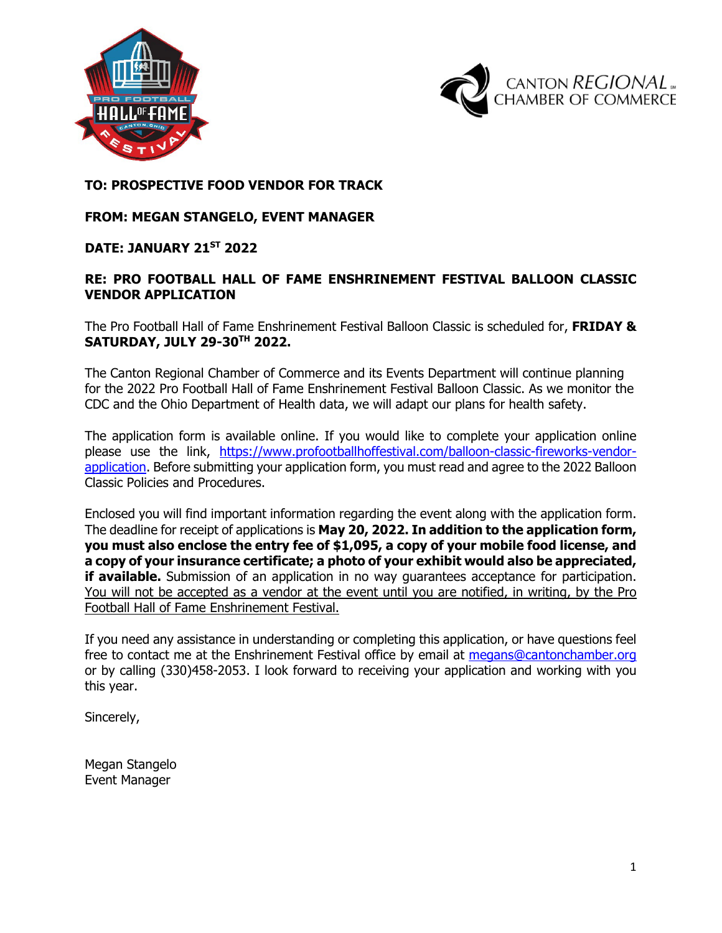



### **TO: PROSPECTIVE FOOD VENDOR FOR TRACK**

### **FROM: MEGAN STANGELO, EVENT MANAGER**

### **DATE: JANUARY 21ST 2022**

### **RE: PRO FOOTBALL HALL OF FAME ENSHRINEMENT FESTIVAL BALLOON CLASSIC VENDOR APPLICATION**

The Pro Football Hall of Fame Enshrinement Festival Balloon Classic is scheduled for, **FRIDAY & SATURDAY, JULY 29-30TH 2022.**

The Canton Regional Chamber of Commerce and its Events Department will continue planning for the 2022 Pro Football Hall of Fame Enshrinement Festival Balloon Classic. As we monitor the CDC and the Ohio Department of Health data, we will adapt our plans for health safety.

The application form is available online. If you would like to complete your application online please use the link, [https://www.profootballhoffestival.com/balloon-classic-fireworks-vendor](https://www.profootballhoffestival.com/balloon-classic-fireworks-vendor-application)[application.](https://www.profootballhoffestival.com/balloon-classic-fireworks-vendor-application) Before submitting your application form, you must read and agree to the 2022 Balloon Classic Policies and Procedures.

Enclosed you will find important information regarding the event along with the application form. The deadline for receipt of applications is **May 20, 2022. In addition to the application form, you must also enclose the entry fee of \$1,095, a copy of your mobile food license, and a copy of your insurance certificate; a photo of your exhibit would also be appreciated, if available.** Submission of an application in no way guarantees acceptance for participation. You will not be accepted as a vendor at the event until you are notified, in writing, by the Pro Football Hall of Fame Enshrinement Festival.

If you need any assistance in understanding or completing this application, or have questions feel free to contact me at the Enshrinement Festival office by email at [megans@cantonchamber.org](mailto:megans@cantonchamber.org) or by calling (330)458-2053. I look forward to receiving your application and working with you this year.

Sincerely,

Megan Stangelo Event Manager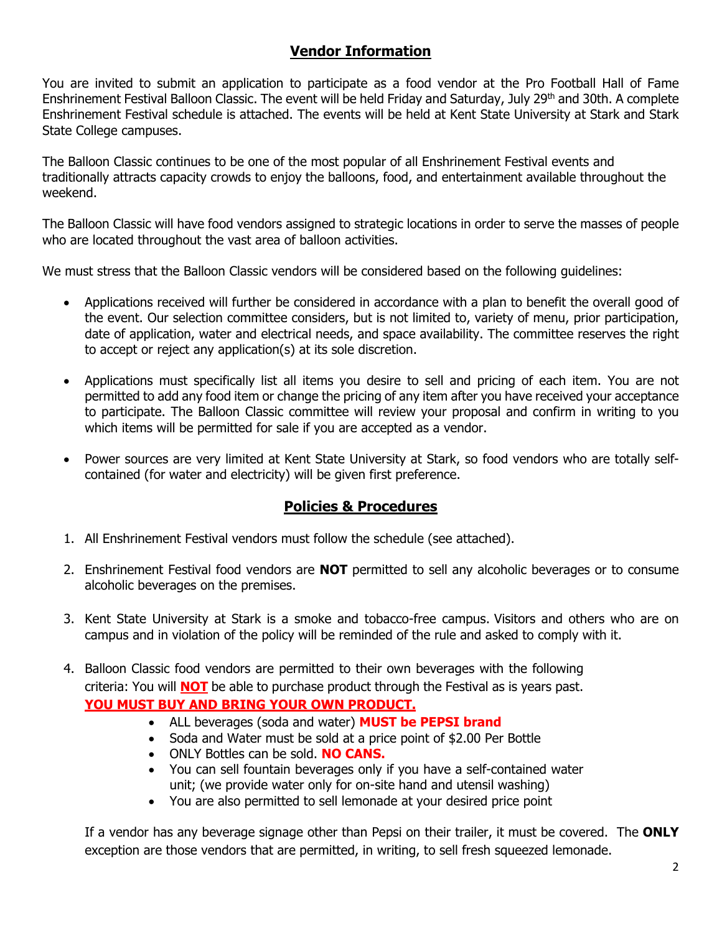### **Vendor Information**

You are invited to submit an application to participate as a food vendor at the Pro Football Hall of Fame Enshrinement Festival Balloon Classic. The event will be held Friday and Saturday, July 29<sup>th</sup> and 30th. A complete Enshrinement Festival schedule is attached. The events will be held at Kent State University at Stark and Stark State College campuses.

The Balloon Classic continues to be one of the most popular of all Enshrinement Festival events and traditionally attracts capacity crowds to enjoy the balloons, food, and entertainment available throughout the weekend.

The Balloon Classic will have food vendors assigned to strategic locations in order to serve the masses of people who are located throughout the vast area of balloon activities.

We must stress that the Balloon Classic vendors will be considered based on the following guidelines:

- Applications received will further be considered in accordance with a plan to benefit the overall good of the event. Our selection committee considers, but is not limited to, variety of menu, prior participation, date of application, water and electrical needs, and space availability. The committee reserves the right to accept or reject any application(s) at its sole discretion.
- Applications must specifically list all items you desire to sell and pricing of each item. You are not permitted to add any food item or change the pricing of any item after you have received your acceptance to participate. The Balloon Classic committee will review your proposal and confirm in writing to you which items will be permitted for sale if you are accepted as a vendor.
- Power sources are very limited at Kent State University at Stark, so food vendors who are totally selfcontained (for water and electricity) will be given first preference.

## **Policies & Procedures**

- 1. All Enshrinement Festival vendors must follow the schedule (see attached).
- 2. Enshrinement Festival food vendors are **NOT** permitted to sell any alcoholic beverages or to consume alcoholic beverages on the premises.
- 3. Kent State University at Stark is a smoke and tobacco-free campus. Visitors and others who are on campus and in violation of the policy will be reminded of the rule and asked to comply with it.
- 4. Balloon Classic food vendors are permitted to their own beverages with the following criteria: You will **NOT** be able to purchase product through the Festival as is years past. **YOU MUST BUY AND BRING YOUR OWN PRODUCT.**
	- ALL beverages (soda and water) **MUST be PEPSI brand**
	- Soda and Water must be sold at a price point of \$2.00 Per Bottle
	- ONLY Bottles can be sold. **NO CANS.**
	- You can sell fountain beverages only if you have a self-contained water unit; (we provide water only for on-site hand and utensil washing)
	- You are also permitted to sell lemonade at your desired price point

If a vendor has any beverage signage other than Pepsi on their trailer, it must be covered. The **ONLY** exception are those vendors that are permitted, in writing, to sell fresh squeezed lemonade.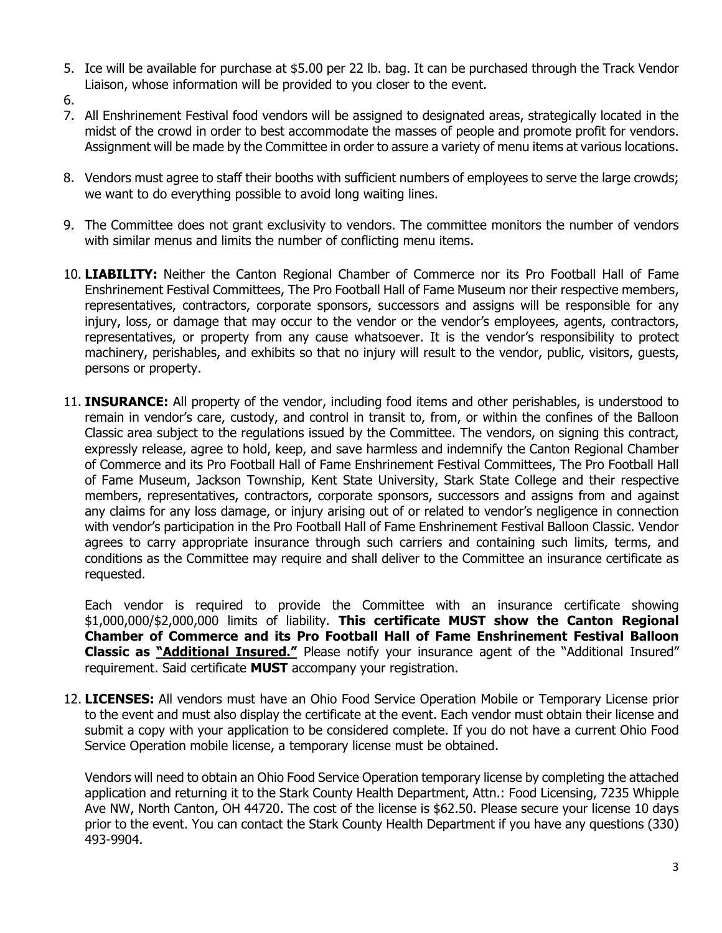- 5. Ice will be available for purchase at \$5.00 per 22 lb. bag. It can be purchased through the Track Vendor Liaison, whose information will be provided to you closer to the event.
- 6.
- 7. All Enshrinement Festival food vendors will be assigned to designated areas, strategically located in the midst of the crowd in order to best accommodate the masses of people and promote profit for vendors. Assignment will be made by the Committee in order to assure a variety of menu items at various locations.
- 8. Vendors must agree to staff their booths with sufficient numbers of employees to serve the large crowds; we want to do everything possible to avoid long waiting lines.
- 9. The Committee does not grant exclusivity to vendors. The committee monitors the number of vendors with similar menus and limits the number of conflicting menu items.
- 10. **LIABILITY:** Neither the Canton Regional Chamber of Commerce nor its Pro Football Hall of Fame Enshrinement Festival Committees, The Pro Football Hall of Fame Museum nor their respective members, representatives, contractors, corporate sponsors, successors and assigns will be responsible for any injury, loss, or damage that may occur to the vendor or the vendor's employees, agents, contractors, representatives, or property from any cause whatsoever. It is the vendor's responsibility to protect machinery, perishables, and exhibits so that no injury will result to the vendor, public, visitors, guests, persons or property.
- 11. **INSURANCE:** All property of the vendor, including food items and other perishables, is understood to remain in vendor's care, custody, and control in transit to, from, or within the confines of the Balloon Classic area subject to the regulations issued by the Committee. The vendors, on signing this contract, expressly release, agree to hold, keep, and save harmless and indemnify the Canton Regional Chamber of Commerce and its Pro Football Hall of Fame Enshrinement Festival Committees, The Pro Football Hall of Fame Museum, Jackson Township, Kent State University, Stark State College and their respective members, representatives, contractors, corporate sponsors, successors and assigns from and against any claims for any loss damage, or injury arising out of or related to vendor's negligence in connection with vendor's participation in the Pro Football Hall of Fame Enshrinement Festival Balloon Classic. Vendor agrees to carry appropriate insurance through such carriers and containing such limits, terms, and conditions as the Committee may require and shall deliver to the Committee an insurance certificate as requested.

Each vendor is required to provide the Committee with an insurance certificate showing \$1,000,000/\$2,000,000 limits of liability. **This certificate MUST show the Canton Regional Chamber of Commerce and its Pro Football Hall of Fame Enshrinement Festival Balloon Classic as "Additional Insured."** Please notify your insurance agent of the "Additional Insured" requirement. Said certificate **MUST** accompany your registration.

12. **LICENSES:** All vendors must have an Ohio Food Service Operation Mobile or Temporary License prior to the event and must also display the certificate at the event. Each vendor must obtain their license and submit a copy with your application to be considered complete. If you do not have a current Ohio Food Service Operation mobile license, a temporary license must be obtained.

Vendors will need to obtain an Ohio Food Service Operation temporary license by completing the attached application and returning it to the Stark County Health Department, Attn.: Food Licensing, 7235 Whipple Ave NW, North Canton, OH 44720. The cost of the license is \$62.50. Please secure your license 10 days prior to the event. You can contact the Stark County Health Department if you have any questions (330) 493-9904.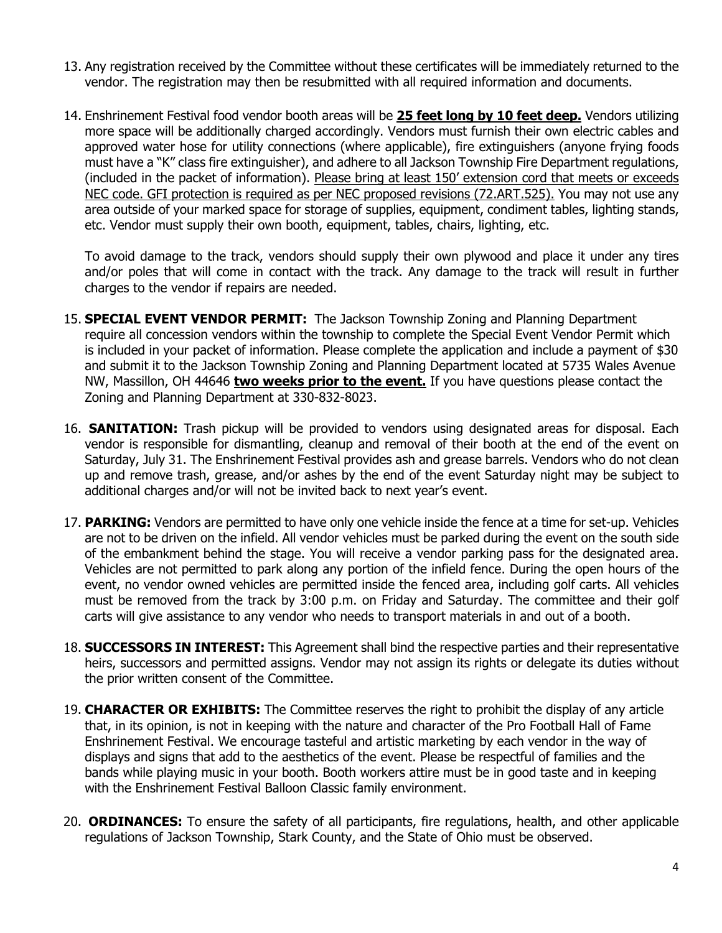- 13. Any registration received by the Committee without these certificates will be immediately returned to the vendor. The registration may then be resubmitted with all required information and documents.
- 14. Enshrinement Festival food vendor booth areas will be **25 feet long by 10 feet deep.** Vendors utilizing more space will be additionally charged accordingly. Vendors must furnish their own electric cables and approved water hose for utility connections (where applicable), fire extinguishers (anyone frying foods must have a "K" class fire extinguisher), and adhere to all Jackson Township Fire Department regulations, (included in the packet of information). Please bring at least 150' extension cord that meets or exceeds NEC code. GFI protection is required as per NEC proposed revisions (72.ART.525). You may not use any area outside of your marked space for storage of supplies, equipment, condiment tables, lighting stands, etc. Vendor must supply their own booth, equipment, tables, chairs, lighting, etc.

To avoid damage to the track, vendors should supply their own plywood and place it under any tires and/or poles that will come in contact with the track. Any damage to the track will result in further charges to the vendor if repairs are needed.

- 15. **SPECIAL EVENT VENDOR PERMIT:** The Jackson Township Zoning and Planning Department require all concession vendors within the township to complete the Special Event Vendor Permit which is included in your packet of information. Please complete the application and include a payment of \$30 and submit it to the Jackson Township Zoning and Planning Department located at 5735 Wales Avenue NW, Massillon, OH 44646 **two weeks prior to the event.** If you have questions please contact the Zoning and Planning Department at 330-832-8023.
- 16. **SANITATION:** Trash pickup will be provided to vendors using designated areas for disposal. Each vendor is responsible for dismantling, cleanup and removal of their booth at the end of the event on Saturday, July 31. The Enshrinement Festival provides ash and grease barrels. Vendors who do not clean up and remove trash, grease, and/or ashes by the end of the event Saturday night may be subject to additional charges and/or will not be invited back to next year's event.
- 17. **PARKING:** Vendors are permitted to have only one vehicle inside the fence at a time for set-up. Vehicles are not to be driven on the infield. All vendor vehicles must be parked during the event on the south side of the embankment behind the stage. You will receive a vendor parking pass for the designated area. Vehicles are not permitted to park along any portion of the infield fence. During the open hours of the event, no vendor owned vehicles are permitted inside the fenced area, including golf carts. All vehicles must be removed from the track by 3:00 p.m. on Friday and Saturday. The committee and their golf carts will give assistance to any vendor who needs to transport materials in and out of a booth.
- 18. **SUCCESSORS IN INTEREST:** This Agreement shall bind the respective parties and their representative heirs, successors and permitted assigns. Vendor may not assign its rights or delegate its duties without the prior written consent of the Committee.
- 19. **CHARACTER OR EXHIBITS:** The Committee reserves the right to prohibit the display of any article that, in its opinion, is not in keeping with the nature and character of the Pro Football Hall of Fame Enshrinement Festival. We encourage tasteful and artistic marketing by each vendor in the way of displays and signs that add to the aesthetics of the event. Please be respectful of families and the bands while playing music in your booth. Booth workers attire must be in good taste and in keeping with the Enshrinement Festival Balloon Classic family environment.
- 20. **ORDINANCES:** To ensure the safety of all participants, fire regulations, health, and other applicable regulations of Jackson Township, Stark County, and the State of Ohio must be observed.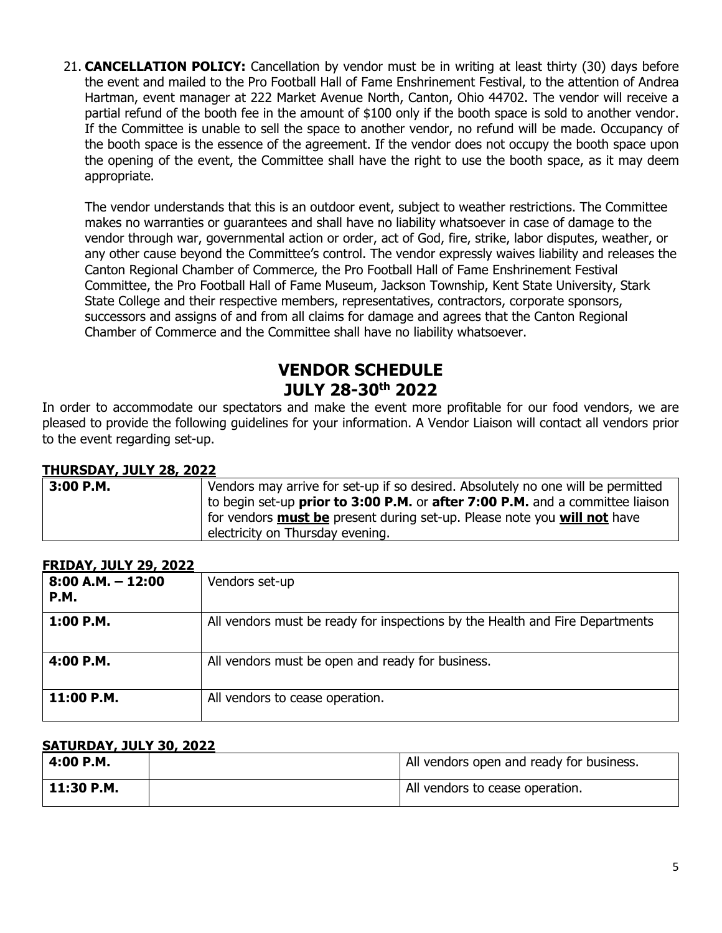21. **CANCELLATION POLICY:** Cancellation by vendor must be in writing at least thirty (30) days before the event and mailed to the Pro Football Hall of Fame Enshrinement Festival, to the attention of Andrea Hartman, event manager at 222 Market Avenue North, Canton, Ohio 44702. The vendor will receive a partial refund of the booth fee in the amount of \$100 only if the booth space is sold to another vendor. If the Committee is unable to sell the space to another vendor, no refund will be made. Occupancy of the booth space is the essence of the agreement. If the vendor does not occupy the booth space upon the opening of the event, the Committee shall have the right to use the booth space, as it may deem appropriate.

The vendor understands that this is an outdoor event, subject to weather restrictions. The Committee makes no warranties or guarantees and shall have no liability whatsoever in case of damage to the vendor through war, governmental action or order, act of God, fire, strike, labor disputes, weather, or any other cause beyond the Committee's control. The vendor expressly waives liability and releases the Canton Regional Chamber of Commerce, the Pro Football Hall of Fame Enshrinement Festival Committee, the Pro Football Hall of Fame Museum, Jackson Township, Kent State University, Stark State College and their respective members, representatives, contractors, corporate sponsors, successors and assigns of and from all claims for damage and agrees that the Canton Regional Chamber of Commerce and the Committee shall have no liability whatsoever.

## **VENDOR SCHEDULE JULY 28-30th 2022**

In order to accommodate our spectators and make the event more profitable for our food vendors, we are pleased to provide the following guidelines for your information. A Vendor Liaison will contact all vendors prior to the event regarding set-up.

### **THURSDAY, JULY 28, 2022**

| 3:00 P.M. | Vendors may arrive for set-up if so desired. Absolutely no one will be permitted            |  |  |  |  |
|-----------|---------------------------------------------------------------------------------------------|--|--|--|--|
|           | to begin set-up <b>prior to 3:00 P.M.</b> or <b>after 7:00 P.M.</b> and a committee liaison |  |  |  |  |
|           | for vendors <b>must be</b> present during set-up. Please note you <b>will not</b> have      |  |  |  |  |
|           | electricity on Thursday evening.                                                            |  |  |  |  |

### **FRIDAY, JULY 29, 2022**

| $8:00$ A.M. $-12:00$<br><b>P.M.</b> | Vendors set-up                                                               |
|-------------------------------------|------------------------------------------------------------------------------|
| 1:00 P.M.                           | All vendors must be ready for inspections by the Health and Fire Departments |
| 4:00 P.M.                           | All vendors must be open and ready for business.                             |
| 11:00 P.M.                          | All vendors to cease operation.                                              |

### **SATURDAY, JULY 30, 2022**

| 4:00 P.M.    | All vendors open and ready for business. |
|--------------|------------------------------------------|
| $11:30$ P.M. | All vendors to cease operation.          |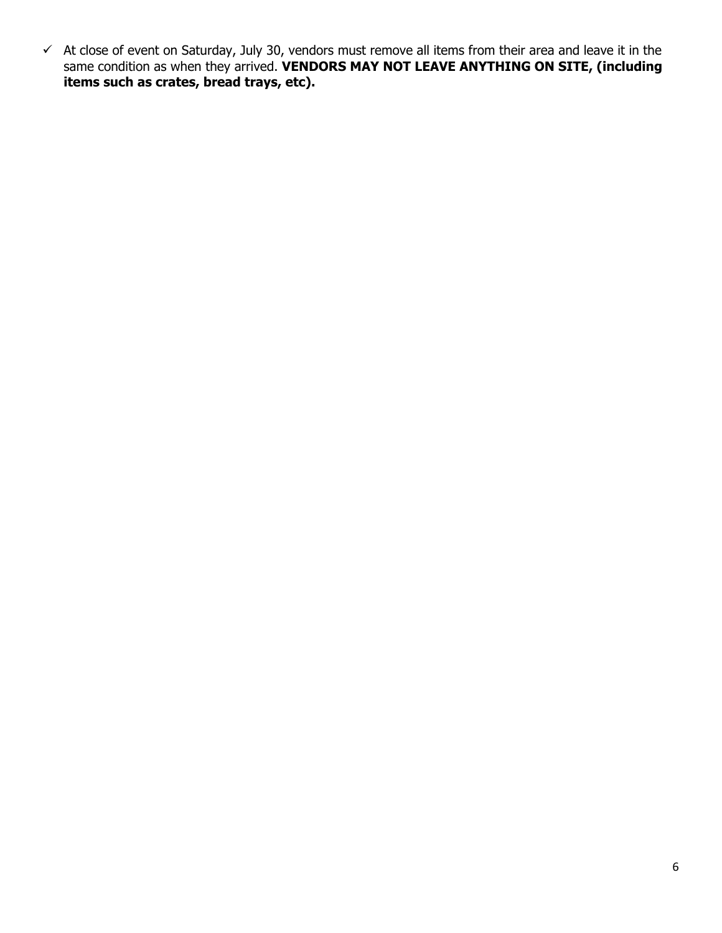$\checkmark$  At close of event on Saturday, July 30, vendors must remove all items from their area and leave it in the same condition as when they arrived. **VENDORS MAY NOT LEAVE ANYTHING ON SITE, (including items such as crates, bread trays, etc).**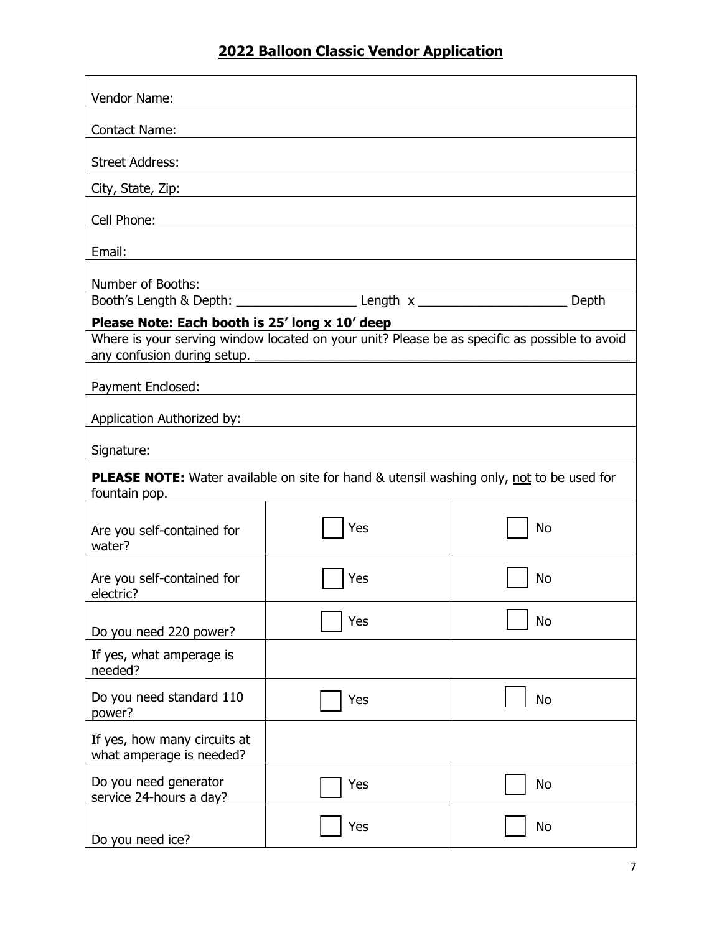# **2022 Balloon Classic Vendor Application**

| Vendor Name:                                                                                                     |                                                                                                                         |           |  |  |  |
|------------------------------------------------------------------------------------------------------------------|-------------------------------------------------------------------------------------------------------------------------|-----------|--|--|--|
| <b>Contact Name:</b>                                                                                             |                                                                                                                         |           |  |  |  |
| <b>Street Address:</b>                                                                                           |                                                                                                                         |           |  |  |  |
| City, State, Zip:                                                                                                |                                                                                                                         |           |  |  |  |
| Cell Phone:                                                                                                      |                                                                                                                         |           |  |  |  |
|                                                                                                                  |                                                                                                                         |           |  |  |  |
| Email:                                                                                                           |                                                                                                                         |           |  |  |  |
| Number of Booths:                                                                                                | <u>Number or Booths.</u><br>Booth's Length & Depth: _________________________Length x ____________________________Depth |           |  |  |  |
| Please Note: Each booth is 25' long x 10' deep                                                                   |                                                                                                                         |           |  |  |  |
|                                                                                                                  | Where is your serving window located on your unit? Please be as specific as possible to avoid                           |           |  |  |  |
|                                                                                                                  |                                                                                                                         |           |  |  |  |
| Payment Enclosed:                                                                                                |                                                                                                                         |           |  |  |  |
|                                                                                                                  | Application Authorized by: National Application Authorized by:                                                          |           |  |  |  |
|                                                                                                                  |                                                                                                                         |           |  |  |  |
| <b>PLEASE NOTE:</b> Water available on site for hand & utensil washing only, not to be used for<br>fountain pop. |                                                                                                                         |           |  |  |  |
| Are you self-contained for<br>water?                                                                             | Yes                                                                                                                     | <b>No</b> |  |  |  |
| Are you self-contained for<br>electric?                                                                          | Yes                                                                                                                     | No        |  |  |  |
| Do you need 220 power?                                                                                           | Yes                                                                                                                     | No        |  |  |  |
| If yes, what amperage is<br>needed?                                                                              |                                                                                                                         |           |  |  |  |
| Do you need standard 110<br>power?                                                                               | Yes                                                                                                                     | <b>No</b> |  |  |  |
| If yes, how many circuits at<br>what amperage is needed?                                                         |                                                                                                                         |           |  |  |  |
| Do you need generator<br>service 24-hours a day?                                                                 | Yes                                                                                                                     | No        |  |  |  |
| Do you need ice?                                                                                                 | Yes                                                                                                                     | No        |  |  |  |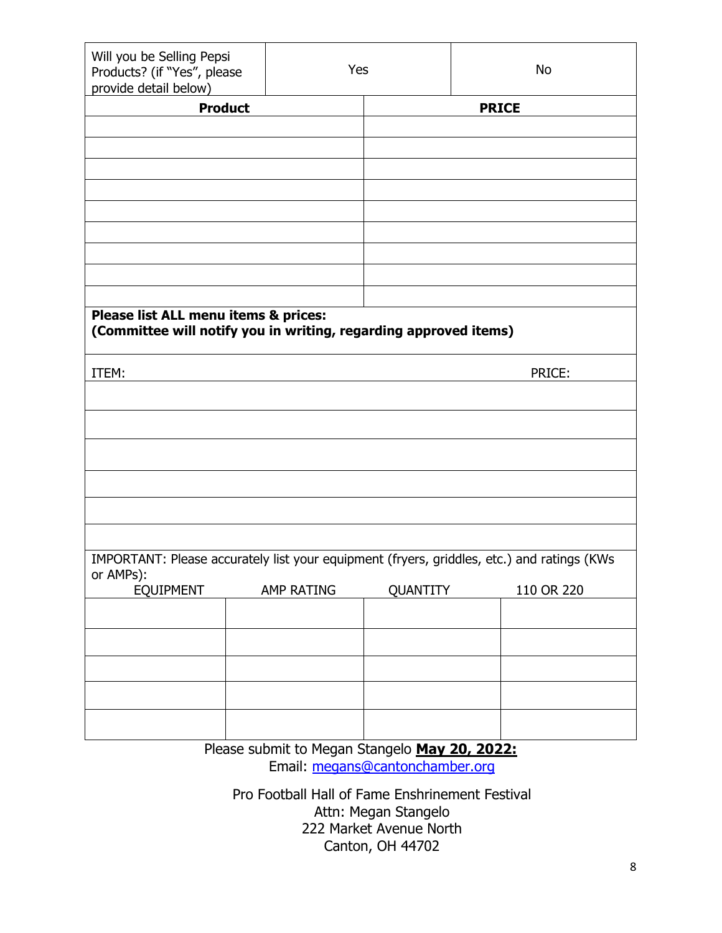| Will you be Selling Pepsi<br>Products? (if "Yes", please<br>provide detail below)                        |                                               | Yes      | No           |  |  |  |  |
|----------------------------------------------------------------------------------------------------------|-----------------------------------------------|----------|--------------|--|--|--|--|
| <b>Product</b>                                                                                           |                                               |          | <b>PRICE</b> |  |  |  |  |
|                                                                                                          |                                               |          |              |  |  |  |  |
|                                                                                                          |                                               |          |              |  |  |  |  |
|                                                                                                          |                                               |          |              |  |  |  |  |
|                                                                                                          |                                               |          |              |  |  |  |  |
|                                                                                                          |                                               |          |              |  |  |  |  |
|                                                                                                          |                                               |          |              |  |  |  |  |
|                                                                                                          |                                               |          |              |  |  |  |  |
|                                                                                                          |                                               |          |              |  |  |  |  |
|                                                                                                          |                                               |          |              |  |  |  |  |
| Please list ALL menu items & prices:<br>(Committee will notify you in writing, regarding approved items) |                                               |          |              |  |  |  |  |
| ITEM:                                                                                                    | PRICE:                                        |          |              |  |  |  |  |
|                                                                                                          |                                               |          |              |  |  |  |  |
|                                                                                                          |                                               |          |              |  |  |  |  |
|                                                                                                          |                                               |          |              |  |  |  |  |
|                                                                                                          |                                               |          |              |  |  |  |  |
|                                                                                                          |                                               |          |              |  |  |  |  |
|                                                                                                          |                                               |          |              |  |  |  |  |
|                                                                                                          |                                               |          |              |  |  |  |  |
| IMPORTANT: Please accurately list your equipment (fryers, griddles, etc.) and ratings (KWs<br>or AMPs):  |                                               |          |              |  |  |  |  |
| <b>EQUIPMENT</b>                                                                                         | <b>AMP RATING</b>                             | QUANTITY | 110 OR 220   |  |  |  |  |
|                                                                                                          |                                               |          |              |  |  |  |  |
|                                                                                                          |                                               |          |              |  |  |  |  |
|                                                                                                          |                                               |          |              |  |  |  |  |
|                                                                                                          |                                               |          |              |  |  |  |  |
|                                                                                                          |                                               |          |              |  |  |  |  |
|                                                                                                          |                                               |          |              |  |  |  |  |
|                                                                                                          | Please submit to Megan Stangelo May 20, 2022: |          |              |  |  |  |  |

Email: [megans@cantonchamber.org](mailto:megans@cantonchamber.org)

Pro Football Hall of Fame Enshrinement Festival Attn: Megan Stangelo 222 Market Avenue North Canton, OH 44702